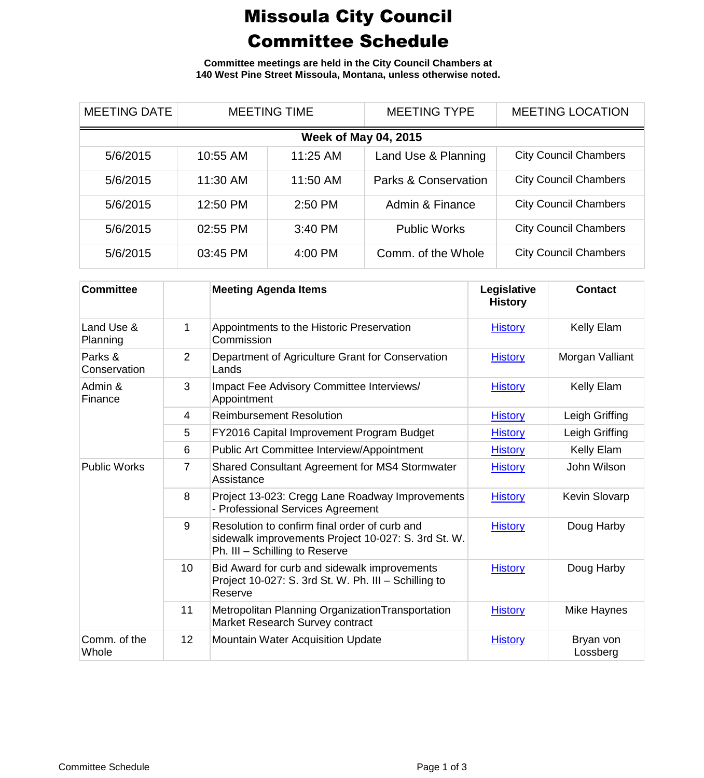## Missoula City Council Committee Schedule

**Committee meetings are held in the City Council Chambers at 140 West Pine Street Missoula, Montana, unless otherwise noted.**

| <b>MEETING DATE</b>         | <b>MEETING TIME</b> |          | <b>MEETING TYPE</b>  | <b>MEETING LOCATION</b>      |  |
|-----------------------------|---------------------|----------|----------------------|------------------------------|--|
| <b>Week of May 04, 2015</b> |                     |          |                      |                              |  |
| 5/6/2015                    | 10:55 AM            | 11:25 AM | Land Use & Planning  | <b>City Council Chambers</b> |  |
| 5/6/2015                    | 11:30 AM            | 11:50 AM | Parks & Conservation | <b>City Council Chambers</b> |  |
| 5/6/2015                    | 12:50 PM            | 2:50 PM  | Admin & Finance      | <b>City Council Chambers</b> |  |
| 5/6/2015                    | 02:55 PM            | 3:40 PM  | <b>Public Works</b>  | <b>City Council Chambers</b> |  |
| 5/6/2015                    | 03:45 PM            | 4:00 PM  | Comm. of the Whole   | <b>City Council Chambers</b> |  |

| <b>Committee</b>        |                | <b>Meeting Agenda Items</b>                                                                                                            | Legislative<br><b>History</b> | <b>Contact</b>        |
|-------------------------|----------------|----------------------------------------------------------------------------------------------------------------------------------------|-------------------------------|-----------------------|
| Land Use &<br>Planning  | 1              | Appointments to the Historic Preservation<br>Commission                                                                                | <b>History</b>                | Kelly Elam            |
| Parks &<br>Conservation | $\overline{2}$ | Department of Agriculture Grant for Conservation<br>Lands                                                                              | <b>History</b>                | Morgan Valliant       |
| Admin &<br>Finance      | 3              | Impact Fee Advisory Committee Interviews/<br>Appointment                                                                               | <b>History</b>                | Kelly Elam            |
|                         | $\overline{4}$ | <b>Reimbursement Resolution</b>                                                                                                        | <b>History</b>                | Leigh Griffing        |
|                         | 5              | FY2016 Capital Improvement Program Budget                                                                                              | <b>History</b>                | Leigh Griffing        |
|                         | 6              | Public Art Committee Interview/Appointment                                                                                             | <b>History</b>                | Kelly Elam            |
| <b>Public Works</b>     | 7              | Shared Consultant Agreement for MS4 Stormwater<br>Assistance                                                                           | <b>History</b>                | John Wilson           |
|                         | 8              | Project 13-023: Cregg Lane Roadway Improvements<br>- Professional Services Agreement                                                   | <b>History</b>                | Kevin Slovarp         |
|                         | 9              | Resolution to confirm final order of curb and<br>sidewalk improvements Project 10-027: S. 3rd St. W.<br>Ph. III - Schilling to Reserve | <b>History</b>                | Doug Harby            |
|                         | 10             | Bid Award for curb and sidewalk improvements<br>Project 10-027: S. 3rd St. W. Ph. III - Schilling to<br>Reserve                        | <b>History</b>                | Doug Harby            |
|                         | 11             | Metropolitan Planning Organization Transportation<br>Market Research Survey contract                                                   | <b>History</b>                | Mike Haynes           |
| Comm. of the<br>Whole   | 12             | <b>Mountain Water Acquisition Update</b>                                                                                               | <b>History</b>                | Bryan von<br>Lossberg |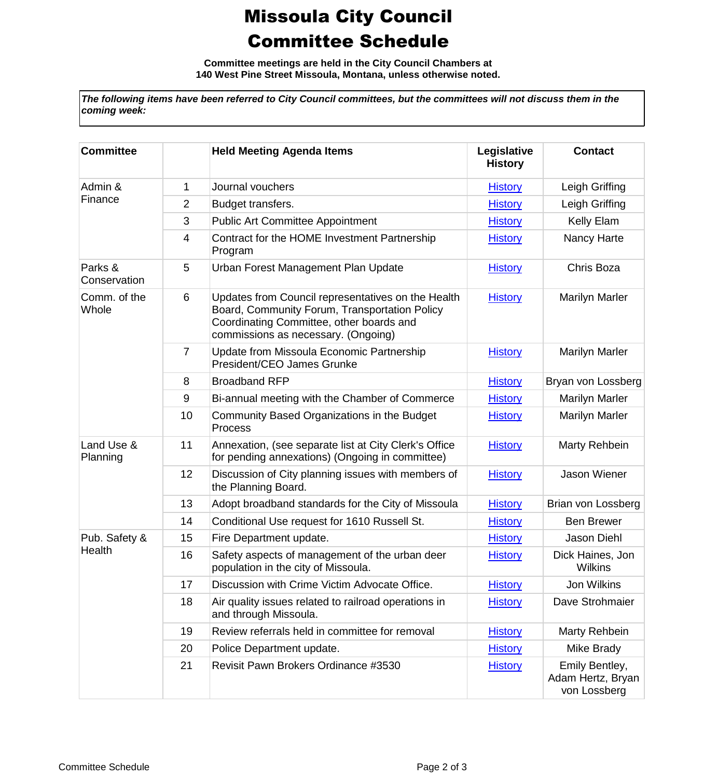## Missoula City Council Committee Schedule

**Committee meetings are held in the City Council Chambers at 140 West Pine Street Missoula, Montana, unless otherwise noted.**

*The following items have been referred to City Council committees, but the committees will not discuss them in the coming week:*

| <b>Committee</b>        |                | <b>Held Meeting Agenda Items</b>                                                                                                                                                       | Legislative<br><b>History</b> | <b>Contact</b>                                      |
|-------------------------|----------------|----------------------------------------------------------------------------------------------------------------------------------------------------------------------------------------|-------------------------------|-----------------------------------------------------|
| Admin &<br>Finance      | 1              | Journal vouchers                                                                                                                                                                       | <b>History</b>                | Leigh Griffing                                      |
|                         | 2              | Budget transfers.                                                                                                                                                                      | <b>History</b>                | Leigh Griffing                                      |
|                         | 3              | <b>Public Art Committee Appointment</b>                                                                                                                                                | <b>History</b>                | Kelly Elam                                          |
|                         | 4              | Contract for the HOME Investment Partnership<br>Program                                                                                                                                | <b>History</b>                | Nancy Harte                                         |
| Parks &<br>Conservation | 5              | Urban Forest Management Plan Update                                                                                                                                                    | <b>History</b>                | Chris Boza                                          |
| Comm. of the<br>Whole   | 6              | Updates from Council representatives on the Health<br>Board, Community Forum, Transportation Policy<br>Coordinating Committee, other boards and<br>commissions as necessary. (Ongoing) | <b>History</b>                | <b>Marilyn Marler</b>                               |
|                         | $\overline{7}$ | Update from Missoula Economic Partnership<br>President/CEO James Grunke                                                                                                                | <b>History</b>                | <b>Marilyn Marler</b>                               |
|                         | 8              | <b>Broadband RFP</b>                                                                                                                                                                   | <b>History</b>                | Bryan von Lossberg                                  |
|                         | 9              | Bi-annual meeting with the Chamber of Commerce                                                                                                                                         | <b>History</b>                | <b>Marilyn Marler</b>                               |
|                         | 10             | Community Based Organizations in the Budget<br><b>Process</b>                                                                                                                          | <b>History</b>                | <b>Marilyn Marler</b>                               |
| Land Use &<br>Planning  | 11             | Annexation, (see separate list at City Clerk's Office<br>for pending annexations) (Ongoing in committee)                                                                               | <b>History</b>                | Marty Rehbein                                       |
|                         | 12             | Discussion of City planning issues with members of<br>the Planning Board.                                                                                                              | <b>History</b>                | Jason Wiener                                        |
|                         | 13             | Adopt broadband standards for the City of Missoula                                                                                                                                     | <b>History</b>                | Brian von Lossberg                                  |
|                         | 14             | Conditional Use request for 1610 Russell St.                                                                                                                                           | <b>History</b>                | <b>Ben Brewer</b>                                   |
| Pub. Safety &<br>Health | 15             | Fire Department update.                                                                                                                                                                | <b>History</b>                | Jason Diehl                                         |
|                         | 16             | Safety aspects of management of the urban deer<br>population in the city of Missoula.                                                                                                  | <b>History</b>                | Dick Haines, Jon<br>Wilkins                         |
|                         | 17             | Discussion with Crime Victim Advocate Office.                                                                                                                                          | <b>History</b>                | Jon Wilkins                                         |
|                         | 18             | Air quality issues related to railroad operations in<br>and through Missoula.                                                                                                          | <b>History</b>                | Dave Strohmaier                                     |
|                         | 19             | Review referrals held in committee for removal                                                                                                                                         | <b>History</b>                | Marty Rehbein                                       |
|                         | 20             | Police Department update.                                                                                                                                                              | <b>History</b>                | Mike Brady                                          |
|                         | 21             | Revisit Pawn Brokers Ordinance #3530                                                                                                                                                   | <b>History</b>                | Emily Bentley,<br>Adam Hertz, Bryan<br>von Lossberg |